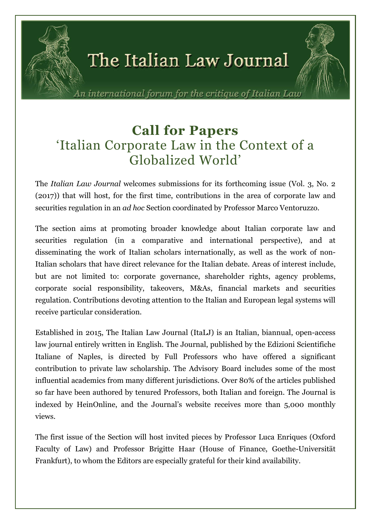

n international forum for the critique of Italian Lau

# Call for Papers 'Italian Corporate Law in the Context of a Globalized World'

The *Italian Law Journal* welcomes submissions for its forthcoming issue (Vol. 3, No. 2 (2017)) that will host, for the first time, contributions in the area of corporate law and securities regulation in an *ad hoc* Section coordinated by Professor Marco Ventoruzzo.

The section aims at promoting broader knowledge about Italian corporate law and securities regulation (in a comparative and international perspective), and at disseminating the work of Italian scholars internationally, as well as the work of non-Italian scholars that have direct relevance for the Italian debate. Areas of interest include, but are not limited to: corporate governance, shareholder rights, agency problems, corporate social responsibility, takeovers, M&As, financial markets and securities regulation. Contributions devoting attention to the Italian and European legal systems will receive particular consideration.

Established in 2015, The Italian Law Journal (ItaLJ) is an Italian, biannual, open-access law journal entirely written in English. The Journal, published by the Edizioni Scientifiche Italiane of Naples, is directed by Full Professors who have offered a significant contribution to private law scholarship. The Advisory Board includes some of the most influential academics from many different jurisdictions. Over 80% of the articles published so far have been authored by tenured Professors, both Italian and foreign. The Journal is indexed by HeinOnline, and the Journal's website receives more than 5,000 monthly views.

The first issue of the Section will host invited pieces by Professor Luca Enriques (Oxford Faculty of Law) and Professor Brigitte Haar (House of Finance, Goethe-Universität Frankfurt), to whom the Editors are especially grateful for their kind availability.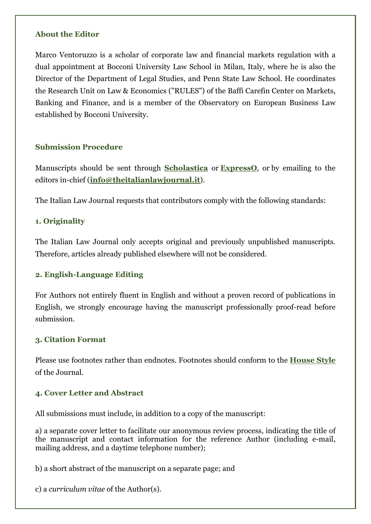#### About the Editor

Marco Ventoruzzo is a scholar of corporate law and financial markets regulation with a dual appointment at Bocconi University Law School in Milan, Italy, where he is also the Director of the Department of Legal Studies, and Penn State Law School. He coordinates the Research Unit on Law & Economics ("RULES") of the Baffi Carefin Center on Markets, Banking and Finance, and is a member of the Observatory on European Business Law established by Bocconi University.

### Submission Procedure

Manuscripts should be sent through Scholastica or ExpressO, or by emailing to the editors in-chief (info@theitalianlawjournal.it).

The Italian Law Journal requests that contributors comply with the following standards:

# 1. Originality

The Italian Law Journal only accepts original and previously unpublished manuscripts. Therefore, articles already published elsewhere will not be considered.

### 2. English-Language Editing

For Authors not entirely fluent in English and without a proven record of publications in English, we strongly encourage having the manuscript professionally proof-read before submission.

### 3. Citation Format

Please use footnotes rather than endnotes. Footnotes should conform to the House Style of the Journal.

### 4. Cover Letter and Abstract

All submissions must include, in addition to a copy of the manuscript:

a) a separate cover letter to facilitate our anonymous review process, indicating the title of the manuscript and contact information for the reference Author (including e-mail, mailing address, and a daytime telephone number);

b) a short abstract of the manuscript on a separate page; and

c) a *curriculum vitae* of the Author(s).